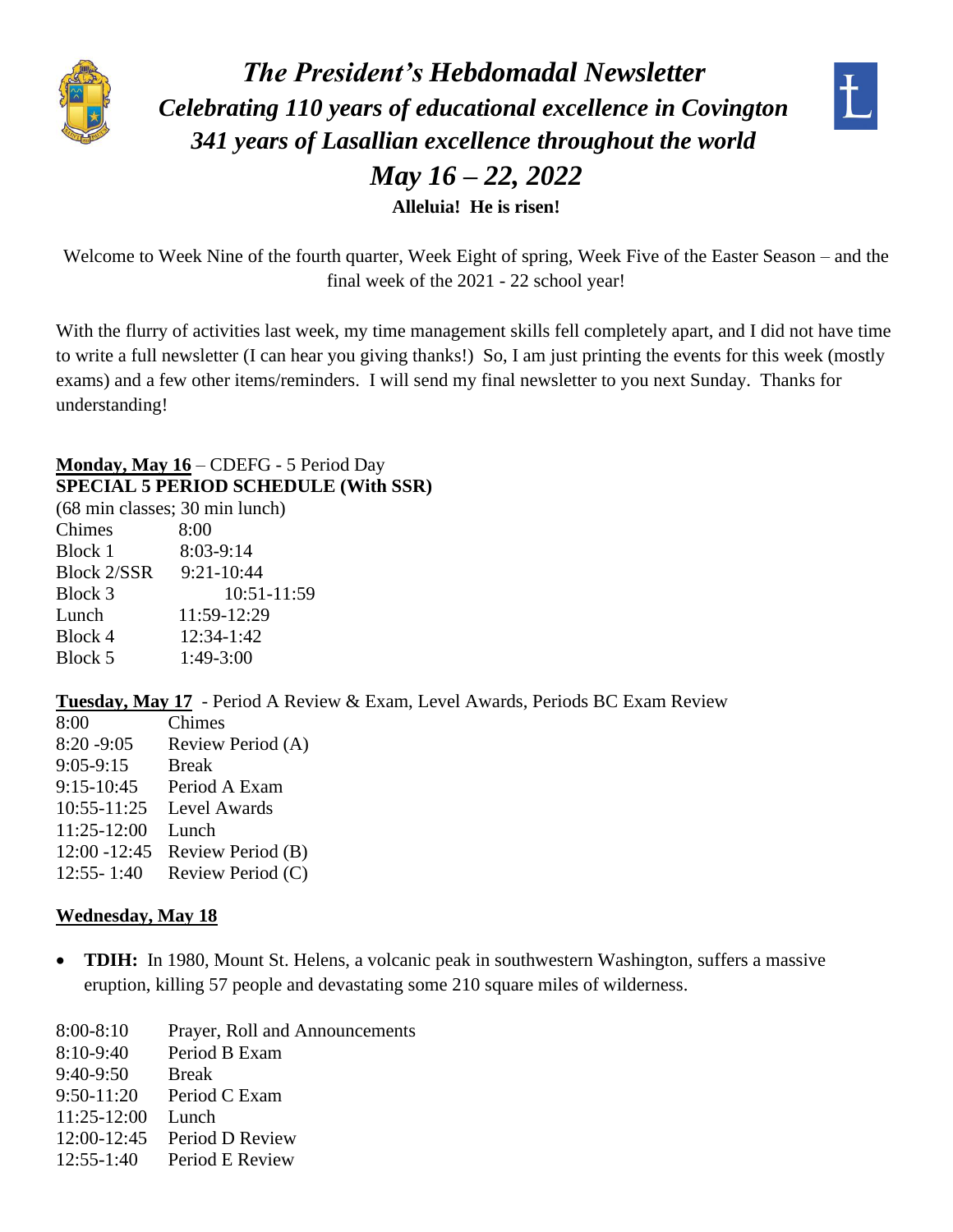

*The President's Hebdomadal Newsletter Celebrating 110 years of educational excellence in Covington 341 years of Lasallian excellence throughout the world May 16 – 22, 2022* **Alleluia! He is risen!**



Welcome to Week Nine of the fourth quarter, Week Eight of spring, Week Five of the Easter Season – and the final week of the 2021 - 22 school year!

With the flurry of activities last week, my time management skills fell completely apart, and I did not have time to write a full newsletter (I can hear you giving thanks!) So, I am just printing the events for this week (mostly exams) and a few other items/reminders. I will send my final newsletter to you next Sunday. Thanks for understanding!

#### **Monday, May 16** – CDEFG - 5 Period Day **SPECIAL 5 PERIOD SCHEDULE (With SSR)**

(68 min classes; 30 min lunch) Chimes 8:00 Block 1 8:03-9:14 Block 2/SSR 9:21-10:44 Block 3 10:51-11:59 Lunch 11:59-12:29 Block 4 12:34-1:42 Block 5 1:49-3:00

**Tuesday, May 17** - Period A Review & Exam, Level Awards, Periods BC Exam Review

8:00 Chimes 8:20 -9:05 Review Period (A) 9:05-9:15 Break 9:15-10:45 Period A Exam 10:55-11:25 Level Awards 11:25-12:00 Lunch 12:00 -12:45 Review Period (B) 12:55- 1:40 Review Period (C)

#### **Wednesday, May 18**

- **TDIH:** In 1980, Mount St. Helens, a volcanic peak in southwestern Washington, suffers a massive eruption, killing 57 people and devastating some 210 square miles of wilderness.
- 8:00-8:10 Prayer, Roll and Announcements
- 8:10-9:40 Period B Exam
- 9:40-9:50 Break
- 9:50-11:20 Period C Exam
- 11:25-12:00 Lunch
- 12:00-12:45 Period D Review
- $12:55-1:40$  Period E Review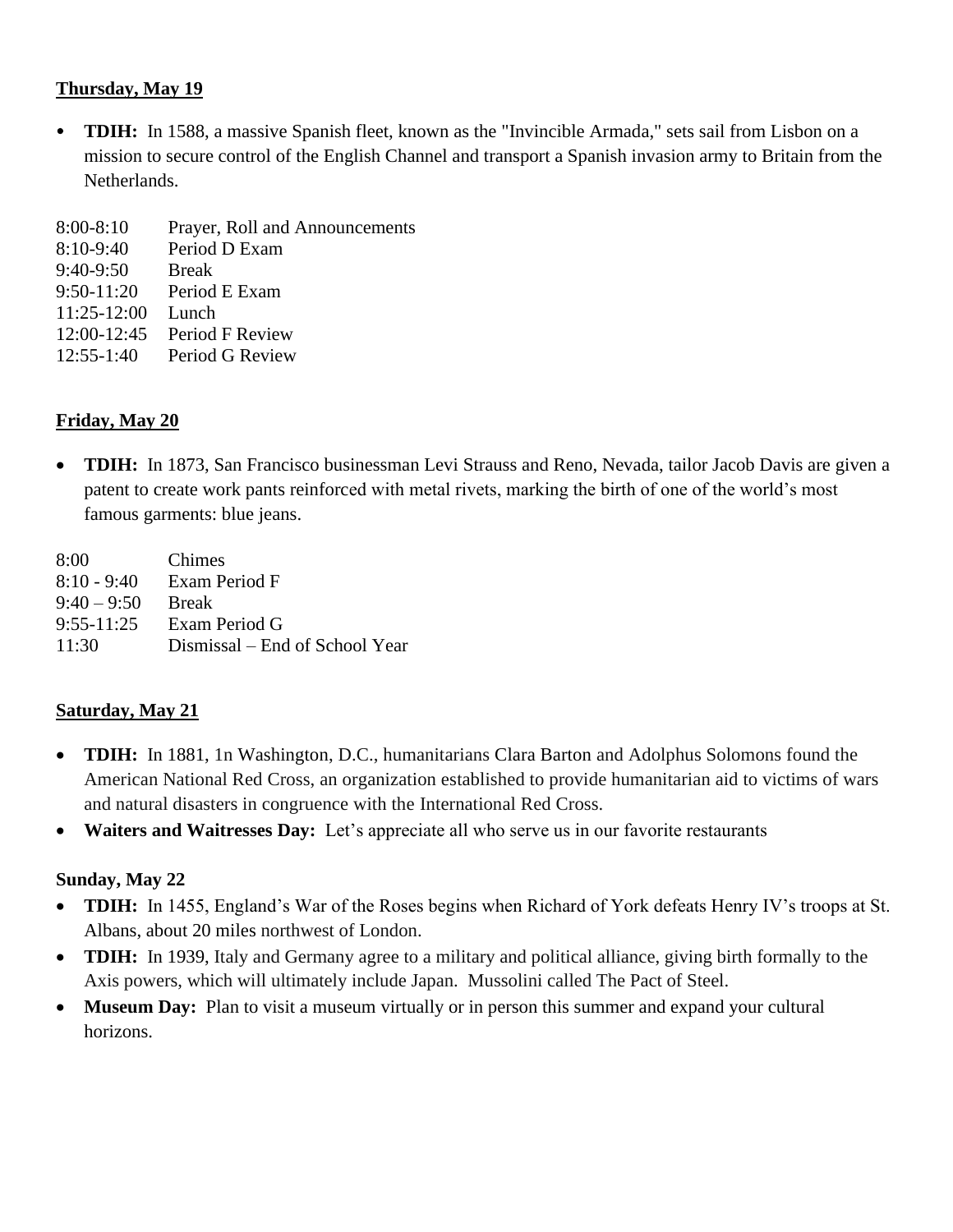#### **Thursday, May 19**

 **TDIH:** In 1588, a massive Spanish fleet, known as the "Invincible Armada," sets sail from Lisbon on a mission to secure control of the English Channel and transport a Spanish invasion army to Britain from the Netherlands.

| $8:00-8:10$     | Prayer, Roll and Announcements |
|-----------------|--------------------------------|
| $8:10-9:40$     | Period D Exam                  |
| $9:40-9:50$     | <b>Break</b>                   |
| $9:50 - 11:20$  | Period E Exam                  |
| $11:25-12:00$   | Lunch                          |
| $12:00 - 12:45$ | Period F Review                |
| $12:55-1:40$    | Period G Review                |

#### **Friday, May 20**

• **TDIH:** In 1873, San Francisco businessman Levi Strauss and Reno, Nevada, tailor Jacob Davis are given a patent to create work pants reinforced with metal rivets, marking the birth of one of the world's most famous garments: blue jeans.

| Chimes                         |
|--------------------------------|
| Exam Period F                  |
| <b>Break</b>                   |
| Exam Period G                  |
| Dismissal – End of School Year |
|                                |

#### **Saturday, May 21**

- **TDIH:** In 1881, 1n Washington, D.C., humanitarians Clara Barton and Adolphus Solomons found the American National Red Cross, an organization established to provide humanitarian aid to victims of wars and natural disasters in congruence with the International Red Cross.
- **Waiters and Waitresses Day:** Let's appreciate all who serve us in our favorite restaurants

#### **Sunday, May 22**

- **TDIH:** In 1455, England's War of the Roses begins when Richard of York defeats Henry IV's troops at St. Albans, about 20 miles northwest of London.
- **TDIH:** In 1939, Italy and Germany agree to a military and political alliance, giving birth formally to the Axis powers, which will ultimately include Japan. Mussolini called The Pact of Steel.
- **Museum Day:** Plan to visit a museum virtually or in person this summer and expand your cultural horizons.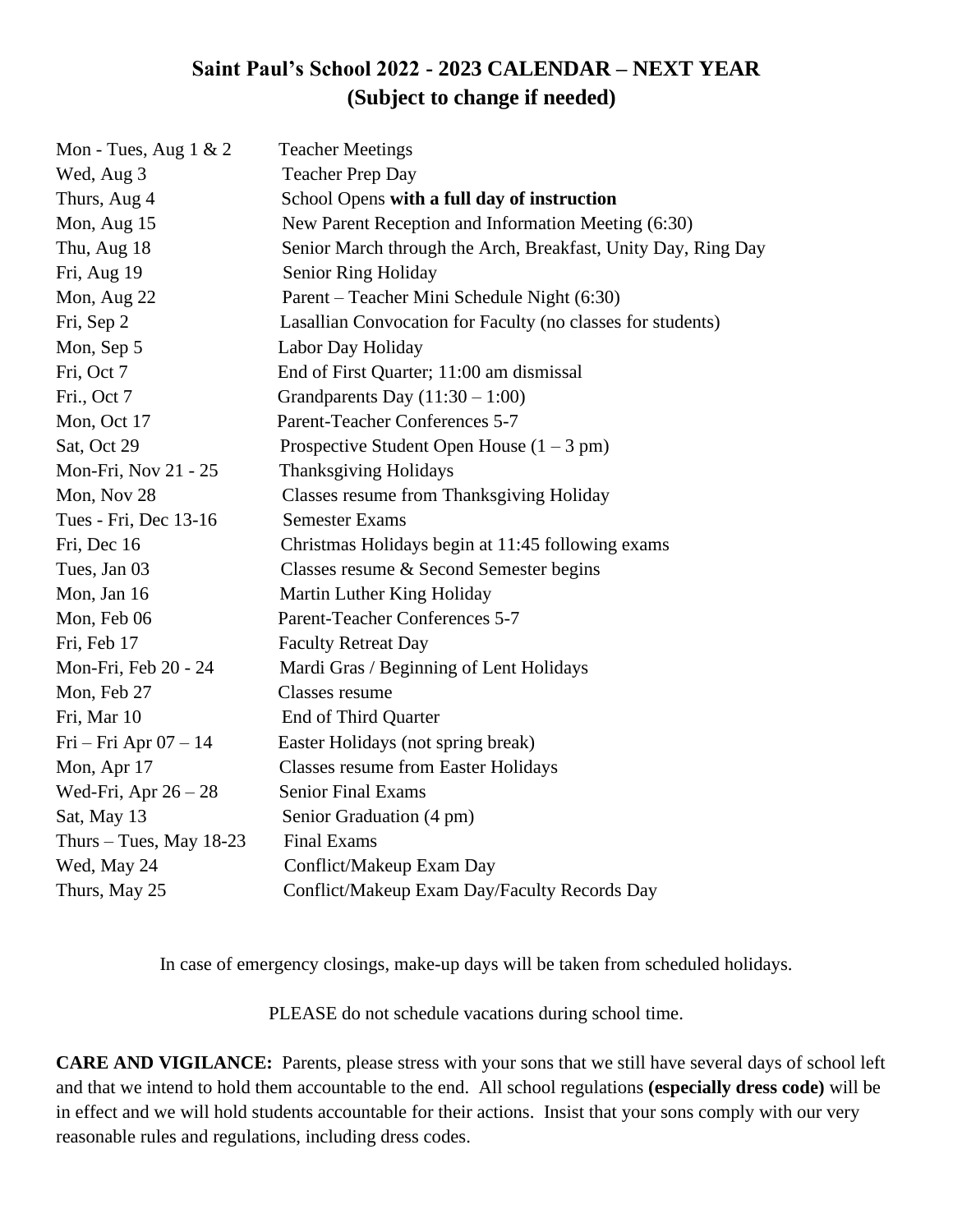#### **Saint Paul's School 2022 - 2023 CALENDAR – NEXT YEAR (Subject to change if needed)**

| Mon - Tues, Aug $1 & 2$   | <b>Teacher Meetings</b>                                       |
|---------------------------|---------------------------------------------------------------|
| Wed, Aug 3                | <b>Teacher Prep Day</b>                                       |
| Thurs, Aug 4              | School Opens with a full day of instruction                   |
| Mon, Aug 15               | New Parent Reception and Information Meeting (6:30)           |
| Thu, Aug 18               | Senior March through the Arch, Breakfast, Unity Day, Ring Day |
| Fri, Aug 19               | Senior Ring Holiday                                           |
| Mon, Aug 22               | Parent – Teacher Mini Schedule Night (6:30)                   |
| Fri, Sep 2                | Lasallian Convocation for Faculty (no classes for students)   |
| Mon, Sep 5                | Labor Day Holiday                                             |
| Fri, Oct 7                | End of First Quarter; 11:00 am dismissal                      |
| Fri., Oct 7               | Grandparents Day $(11:30 - 1:00)$                             |
| Mon, Oct 17               | Parent-Teacher Conferences 5-7                                |
| Sat, Oct 29               | Prospective Student Open House $(1 – 3 pm)$                   |
| Mon-Fri, Nov 21 - 25      | <b>Thanksgiving Holidays</b>                                  |
| Mon, Nov 28               | Classes resume from Thanksgiving Holiday                      |
| Tues - Fri, Dec 13-16     | <b>Semester Exams</b>                                         |
| Fri, Dec 16               | Christmas Holidays begin at 11:45 following exams             |
| Tues, Jan 03              | Classes resume & Second Semester begins                       |
| Mon, Jan 16               | Martin Luther King Holiday                                    |
| Mon, Feb 06               | Parent-Teacher Conferences 5-7                                |
| Fri, Feb 17               | <b>Faculty Retreat Day</b>                                    |
| Mon-Fri, Feb 20 - 24      | Mardi Gras / Beginning of Lent Holidays                       |
| Mon, Feb 27               | Classes resume                                                |
| Fri, Mar 10               | End of Third Quarter                                          |
| $Fri - Fri$ Apr $07 - 14$ | Easter Holidays (not spring break)                            |
| Mon, Apr 17               | <b>Classes resume from Easter Holidays</b>                    |
| Wed-Fri, Apr $26 - 28$    | <b>Senior Final Exams</b>                                     |
| Sat, May 13               | Senior Graduation (4 pm)                                      |
| Thurs $-$ Tues, May 18-23 | <b>Final Exams</b>                                            |
| Wed, May 24               | Conflict/Makeup Exam Day                                      |
| Thurs, May 25             | Conflict/Makeup Exam Day/Faculty Records Day                  |

In case of emergency closings, make-up days will be taken from scheduled holidays.

PLEASE do not schedule vacations during school time.

**CARE AND VIGILANCE:** Parents, please stress with your sons that we still have several days of school left and that we intend to hold them accountable to the end. All school regulations **(especially dress code)** will be in effect and we will hold students accountable for their actions. Insist that your sons comply with our very reasonable rules and regulations, including dress codes.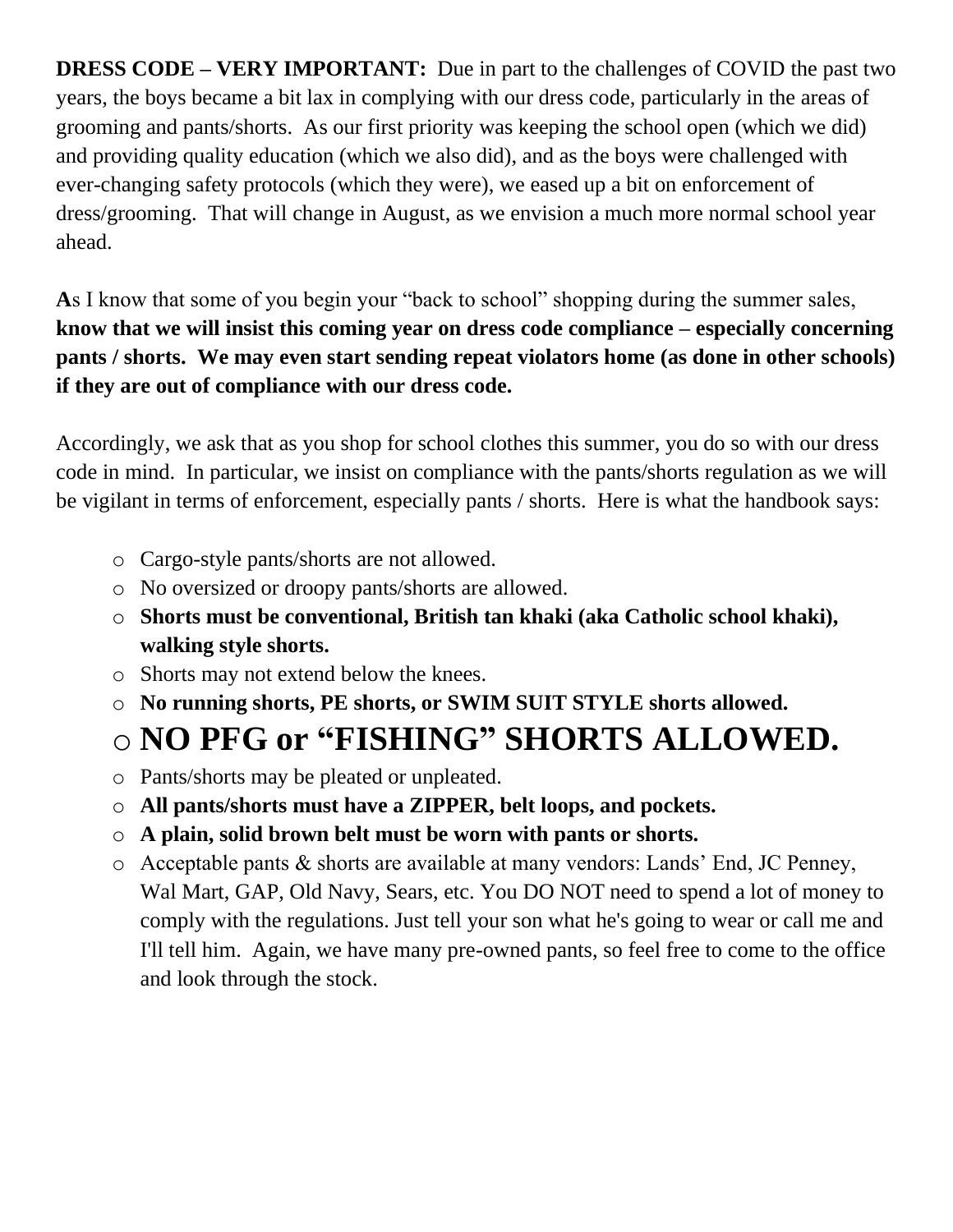**DRESS CODE – VERY IMPORTANT:** Due in part to the challenges of COVID the past two years, the boys became a bit lax in complying with our dress code, particularly in the areas of grooming and pants/shorts. As our first priority was keeping the school open (which we did) and providing quality education (which we also did), and as the boys were challenged with ever-changing safety protocols (which they were), we eased up a bit on enforcement of dress/grooming. That will change in August, as we envision a much more normal school year ahead.

**A**s I know that some of you begin your "back to school" shopping during the summer sales, **know that we will insist this coming year on dress code compliance – especially concerning pants / shorts. We may even start sending repeat violators home (as done in other schools) if they are out of compliance with our dress code.**

Accordingly, we ask that as you shop for school clothes this summer, you do so with our dress code in mind. In particular, we insist on compliance with the pants/shorts regulation as we will be vigilant in terms of enforcement, especially pants / shorts. Here is what the handbook says:

- o Cargo-style pants/shorts are not allowed.
- o No oversized or droopy pants/shorts are allowed.
- o **Shorts must be conventional, British tan khaki (aka Catholic school khaki), walking style shorts.**
- o Shorts may not extend below the knees.
- o **No running shorts, PE shorts, or SWIM SUIT STYLE shorts allowed.**

## o **NO PFG or "FISHING" SHORTS ALLOWED.**

- o Pants/shorts may be pleated or unpleated.
- o **All pants/shorts must have a ZIPPER, belt loops, and pockets.**
- o **A plain, solid brown belt must be worn with pants or shorts.**
- o Acceptable pants & shorts are available at many vendors: Lands' End, JC Penney, Wal Mart, GAP, Old Navy, Sears, etc. You DO NOT need to spend a lot of money to comply with the regulations. Just tell your son what he's going to wear or call me and I'll tell him. Again, we have many pre-owned pants, so feel free to come to the office and look through the stock.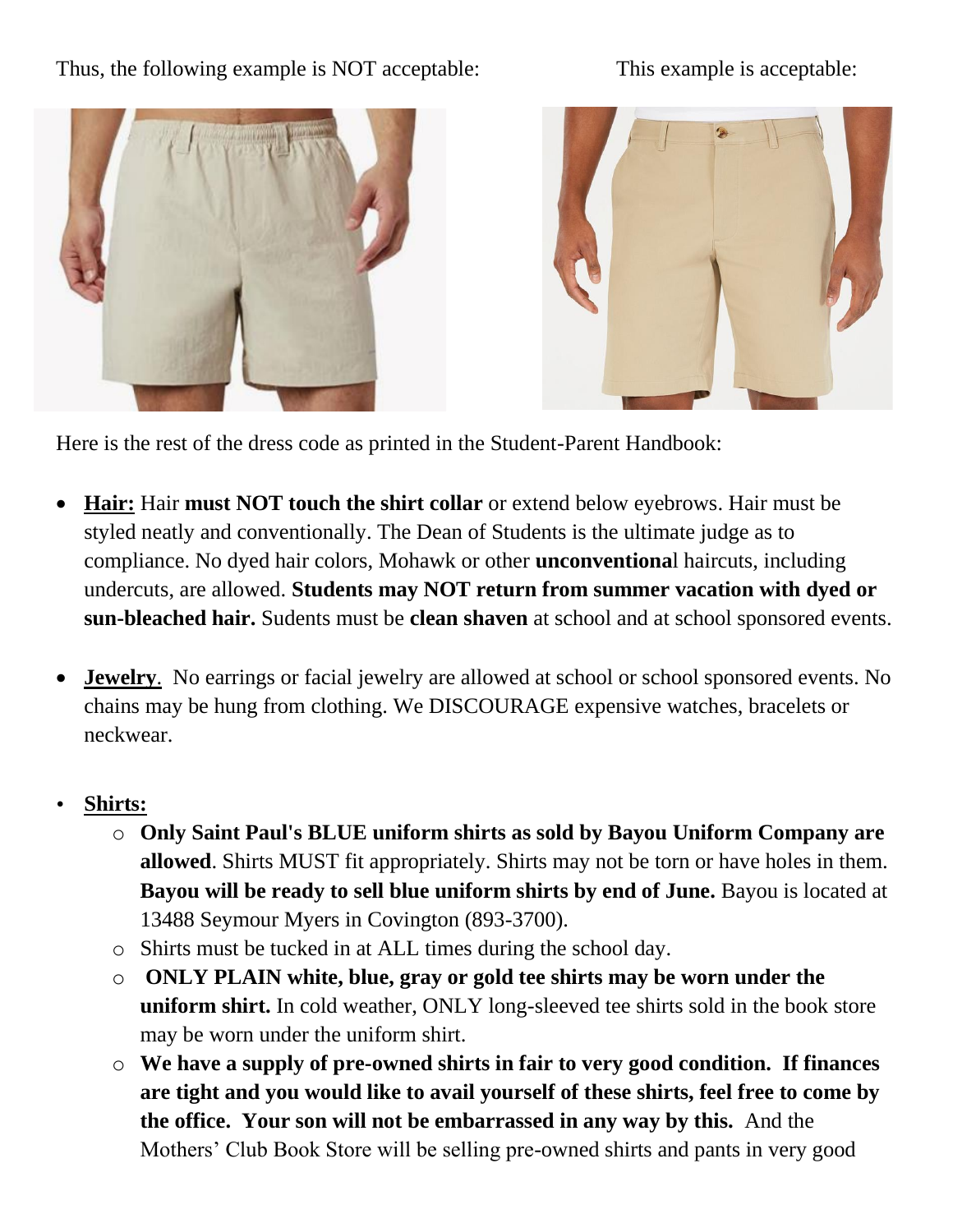Thus, the following example is NOT acceptable: This example is acceptable:





Here is the rest of the dress code as printed in the Student-Parent Handbook:

- **Hair:** Hair **must NOT touch the shirt collar** or extend below eyebrows. Hair must be styled neatly and conventionally. The Dean of Students is the ultimate judge as to compliance. No dyed hair colors, Mohawk or other **unconventiona**l haircuts, including undercuts, are allowed. **Students may NOT return from summer vacation with dyed or sun-bleached hair.** Sudents must be **clean shaven** at school and at school sponsored events.
- **Jewelry**. No earrings or facial jewelry are allowed at school or school sponsored events. No chains may be hung from clothing. We DISCOURAGE expensive watches, bracelets or neckwear.
- **Shirts:**
	- o **Only Saint Paul's BLUE uniform shirts as sold by Bayou Uniform Company are allowed**. Shirts MUST fit appropriately. Shirts may not be torn or have holes in them. **Bayou will be ready to sell blue uniform shirts by end of June.** Bayou is located at 13488 Seymour Myers in Covington (893-3700).
	- o Shirts must be tucked in at ALL times during the school day.
	- o **ONLY PLAIN white, blue, gray or gold tee shirts may be worn under the uniform shirt.** In cold weather, ONLY long-sleeved tee shirts sold in the book store may be worn under the uniform shirt.
	- o **We have a supply of pre-owned shirts in fair to very good condition. If finances are tight and you would like to avail yourself of these shirts, feel free to come by the office. Your son will not be embarrassed in any way by this.** And the Mothers' Club Book Store will be selling pre-owned shirts and pants in very good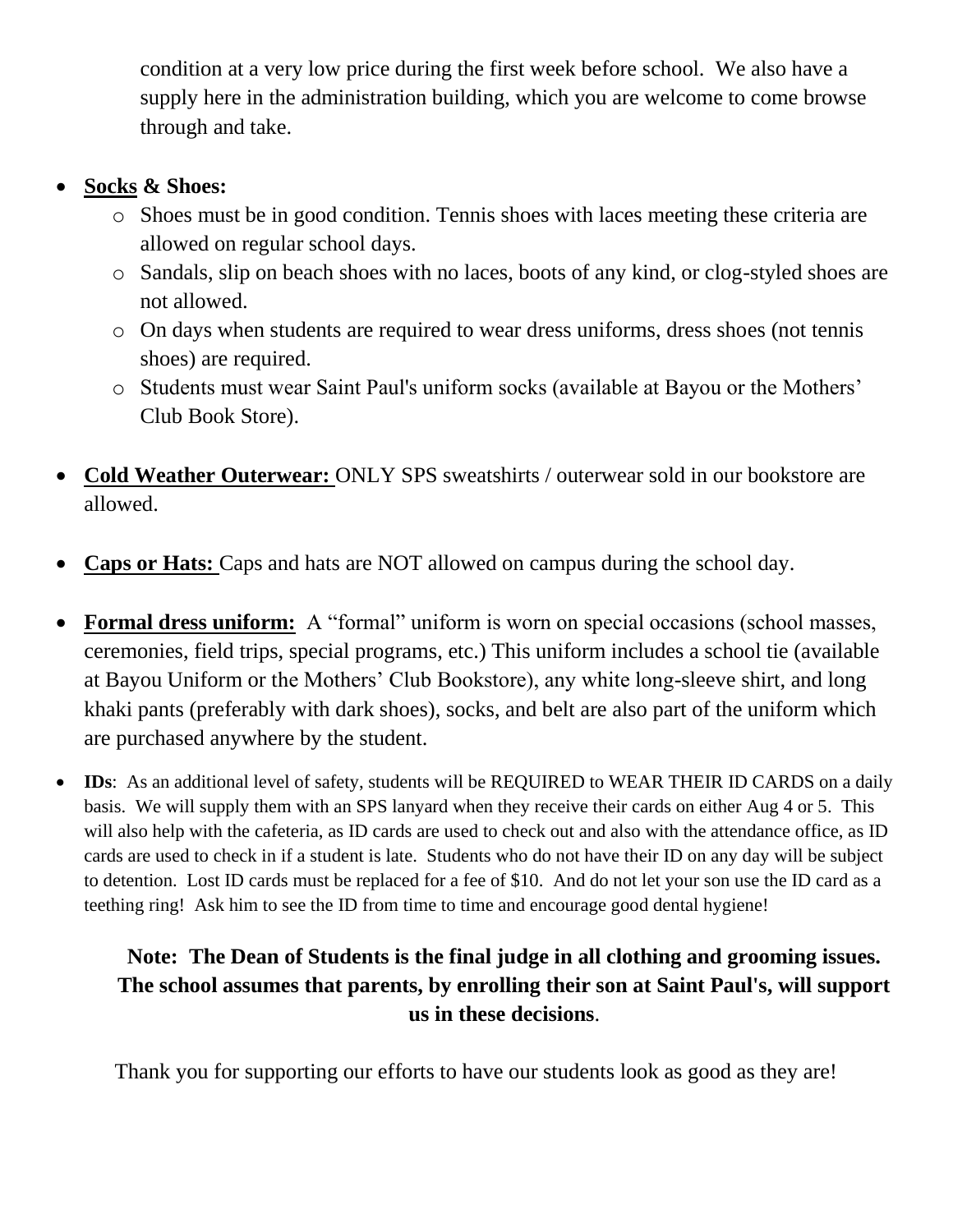condition at a very low price during the first week before school. We also have a supply here in the administration building, which you are welcome to come browse through and take.

#### • **Socks & Shoes:**

- o Shoes must be in good condition. Tennis shoes with laces meeting these criteria are allowed on regular school days.
- o Sandals, slip on beach shoes with no laces, boots of any kind, or clog-styled shoes are not allowed.
- o On days when students are required to wear dress uniforms, dress shoes (not tennis shoes) are required.
- o Students must wear Saint Paul's uniform socks (available at Bayou or the Mothers' Club Book Store).
- **Cold Weather Outerwear:** ONLY SPS sweatshirts / outerwear sold in our bookstore are allowed.
- **Caps or Hats:** Caps and hats are NOT allowed on campus during the school day.
- **Formal dress uniform:** A "formal" uniform is worn on special occasions (school masses, ceremonies, field trips, special programs, etc.) This uniform includes a school tie (available at Bayou Uniform or the Mothers' Club Bookstore), any white long-sleeve shirt, and long khaki pants (preferably with dark shoes), socks, and belt are also part of the uniform which are purchased anywhere by the student.
- **IDs**: As an additional level of safety, students will be REQUIRED to WEAR THEIR ID CARDS on a daily basis. We will supply them with an SPS lanyard when they receive their cards on either Aug 4 or 5. This will also help with the cafeteria, as ID cards are used to check out and also with the attendance office, as ID cards are used to check in if a student is late. Students who do not have their ID on any day will be subject to detention. Lost ID cards must be replaced for a fee of \$10. And do not let your son use the ID card as a teething ring! Ask him to see the ID from time to time and encourage good dental hygiene!

### **Note: The Dean of Students is the final judge in all clothing and grooming issues. The school assumes that parents, by enrolling their son at Saint Paul's, will support us in these decisions**.

Thank you for supporting our efforts to have our students look as good as they are!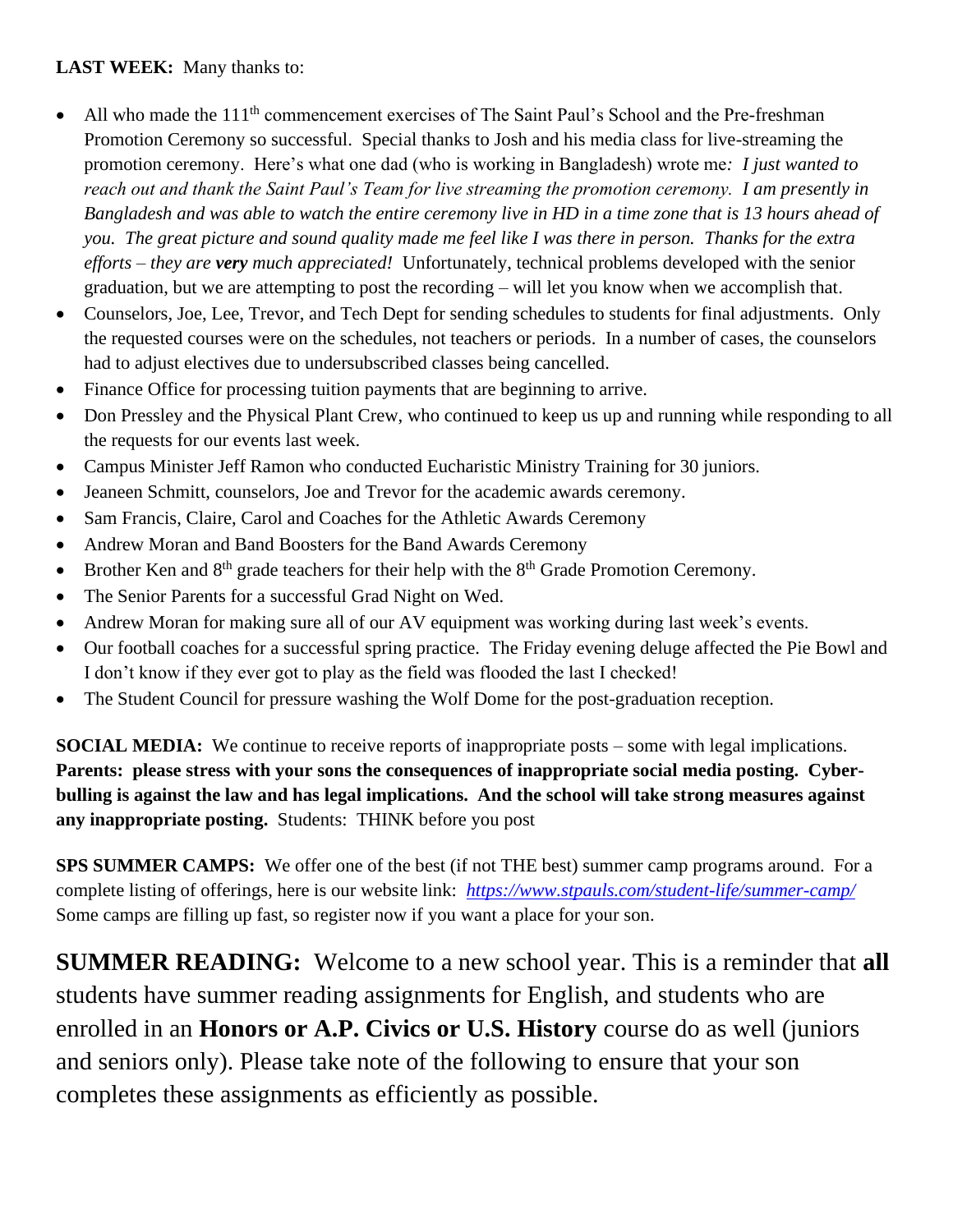#### LAST WEEK: Many thanks to:

- All who made the  $111<sup>th</sup>$  commencement exercises of The Saint Paul's School and the Pre-freshman Promotion Ceremony so successful. Special thanks to Josh and his media class for live-streaming the promotion ceremony. Here's what one dad (who is working in Bangladesh) wrote me*: I just wanted to reach out and thank the Saint Paul's Team for live streaming the promotion ceremony. I am presently in Bangladesh and was able to watch the entire ceremony live in HD in a time zone that is 13 hours ahead of you. The great picture and sound quality made me feel like I was there in person. Thanks for the extra efforts – they are very much appreciated!* Unfortunately, technical problems developed with the senior graduation, but we are attempting to post the recording – will let you know when we accomplish that.
- Counselors, Joe, Lee, Trevor, and Tech Dept for sending schedules to students for final adjustments. Only the requested courses were on the schedules, not teachers or periods. In a number of cases, the counselors had to adjust electives due to undersubscribed classes being cancelled.
- Finance Office for processing tuition payments that are beginning to arrive.
- Don Pressley and the Physical Plant Crew, who continued to keep us up and running while responding to all the requests for our events last week.
- Campus Minister Jeff Ramon who conducted Eucharistic Ministry Training for 30 juniors.
- Jeaneen Schmitt, counselors, Joe and Trevor for the academic awards ceremony.
- Sam Francis, Claire, Carol and Coaches for the Athletic Awards Ceremony
- Andrew Moran and Band Boosters for the Band Awards Ceremony
- Brother Ken and  $8<sup>th</sup>$  grade teachers for their help with the  $8<sup>th</sup>$  Grade Promotion Ceremony.
- The Senior Parents for a successful Grad Night on Wed.
- Andrew Moran for making sure all of our AV equipment was working during last week's events.
- Our football coaches for a successful spring practice. The Friday evening deluge affected the Pie Bowl and I don't know if they ever got to play as the field was flooded the last I checked!
- The Student Council for pressure washing the Wolf Dome for the post-graduation reception.

**SOCIAL MEDIA:** We continue to receive reports of inappropriate posts – some with legal implications. **Parents: please stress with your sons the consequences of inappropriate social media posting. Cyberbulling is against the law and has legal implications. And the school will take strong measures against any inappropriate posting.** Students: THINK before you post

**SPS SUMMER CAMPS:** We offer one of the best (if not THE best) summer camp programs around. For a complete listing of offerings, here is our website link: *<https://www.stpauls.com/student-life/summer-camp/>* Some camps are filling up fast, so register now if you want a place for your son.

**SUMMER READING:** Welcome to a new school year. This is a reminder that **all**  students have summer reading assignments for English, and students who are enrolled in an **Honors or A.P. Civics or U.S. History** course do as well (juniors and seniors only). Please take note of the following to ensure that your son completes these assignments as efficiently as possible.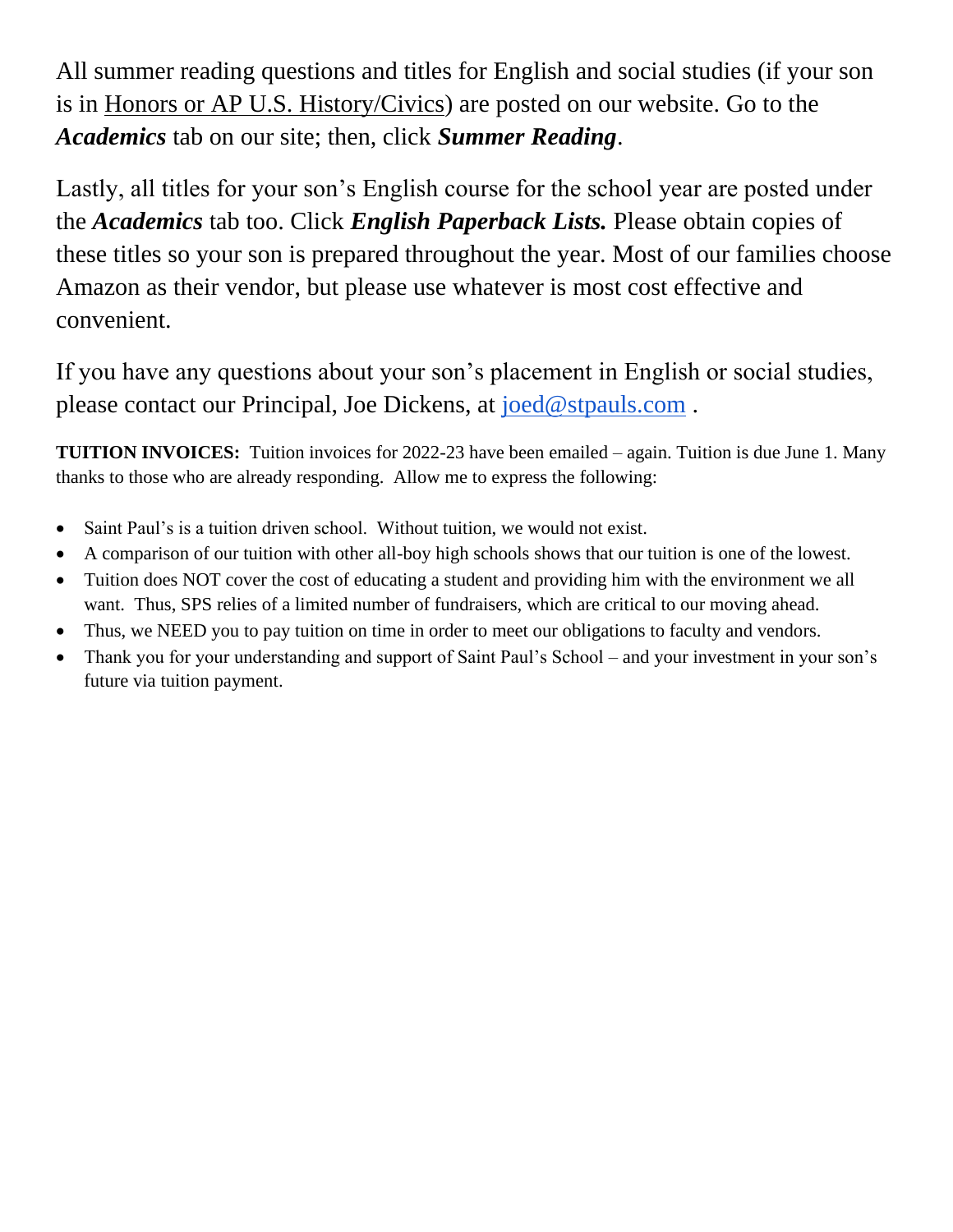All summer reading questions and titles for English and social studies (if your son is in Honors or AP U.S. History/Civics) are posted on our website. Go to the *Academics* tab on our site; then, click *Summer Reading*.

Lastly, all titles for your son's English course for the school year are posted under the *Academics* tab too. Click *English Paperback Lists.* Please obtain copies of these titles so your son is prepared throughout the year. Most of our families choose Amazon as their vendor, but please use whatever is most cost effective and convenient.

If you have any questions about your son's placement in English or social studies, please contact our Principal, Joe Dickens, at [joed@stpauls.com](mailto:joed@stpauls.com) .

**TUITION INVOICES:** Tuition invoices for 2022-23 have been emailed – again. Tuition is due June 1. Many thanks to those who are already responding. Allow me to express the following:

- Saint Paul's is a tuition driven school. Without tuition, we would not exist.
- A comparison of our tuition with other all-boy high schools shows that our tuition is one of the lowest.
- Tuition does NOT cover the cost of educating a student and providing him with the environment we all want. Thus, SPS relies of a limited number of fundraisers, which are critical to our moving ahead.
- Thus, we NEED you to pay tuition on time in order to meet our obligations to faculty and vendors.
- Thank you for your understanding and support of Saint Paul's School and your investment in your son's future via tuition payment.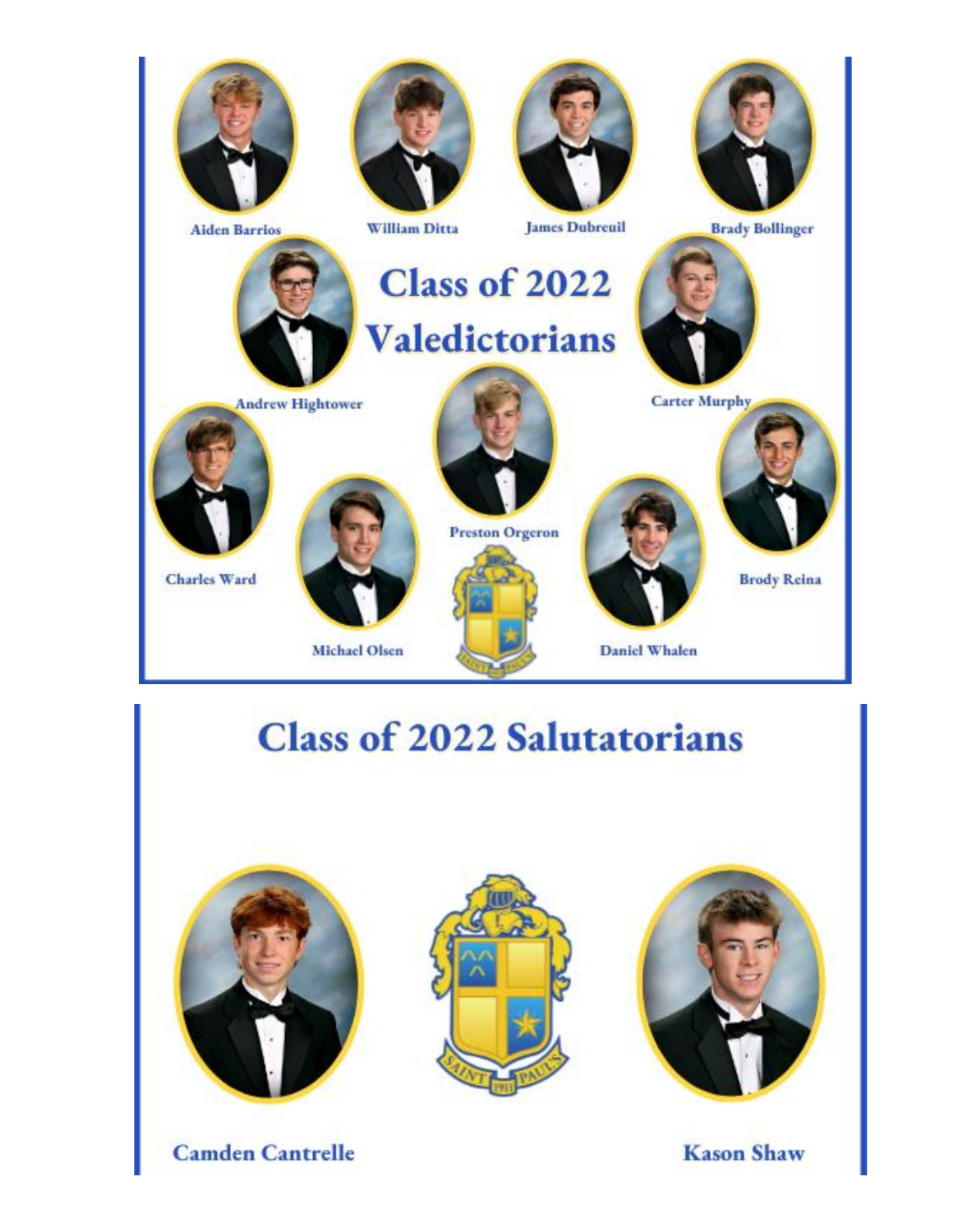

## **Class of 2022 Salutatorians**



**Camden Cantrelle** 





**Kason Shaw**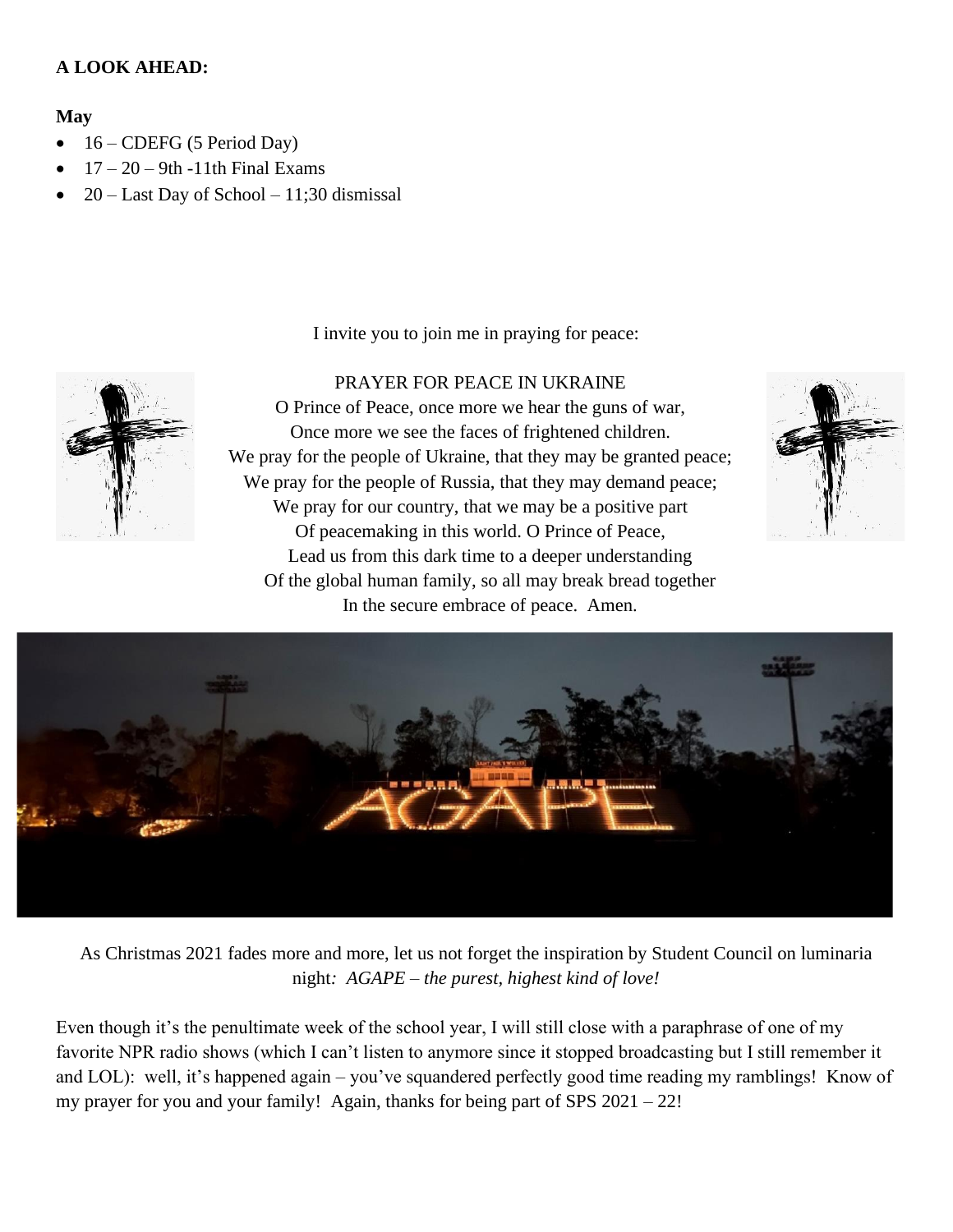#### **A LOOK AHEAD:**

#### **May**

- 16 CDEFG (5 Period Day)
- $17 20 9$ th -11th Final Exams
- $20 -$  Last Day of School  $-11$ ; 30 dismissal

I invite you to join me in praying for peace:

PRAYER FOR PEACE IN UKRAINE

O Prince of Peace, once more we hear the guns of war, Once more we see the faces of frightened children. We pray for the people of Ukraine, that they may be granted peace; We pray for the people of Russia, that they may demand peace; We pray for our country, that we may be a positive part Of peacemaking in this world. O Prince of Peace, Lead us from this dark time to a deeper understanding Of the global human family, so all may break bread together In the secure embrace of peace. Amen.





As Christmas 2021 fades more and more, let us not forget the inspiration by Student Council on luminaria night*: AGAPE – the purest, highest kind of love!*

Even though it's the penultimate week of the school year, I will still close with a paraphrase of one of my favorite NPR radio shows (which I can't listen to anymore since it stopped broadcasting but I still remember it and LOL): well, it's happened again – you've squandered perfectly good time reading my ramblings! Know of my prayer for you and your family! Again, thanks for being part of SPS 2021 – 22!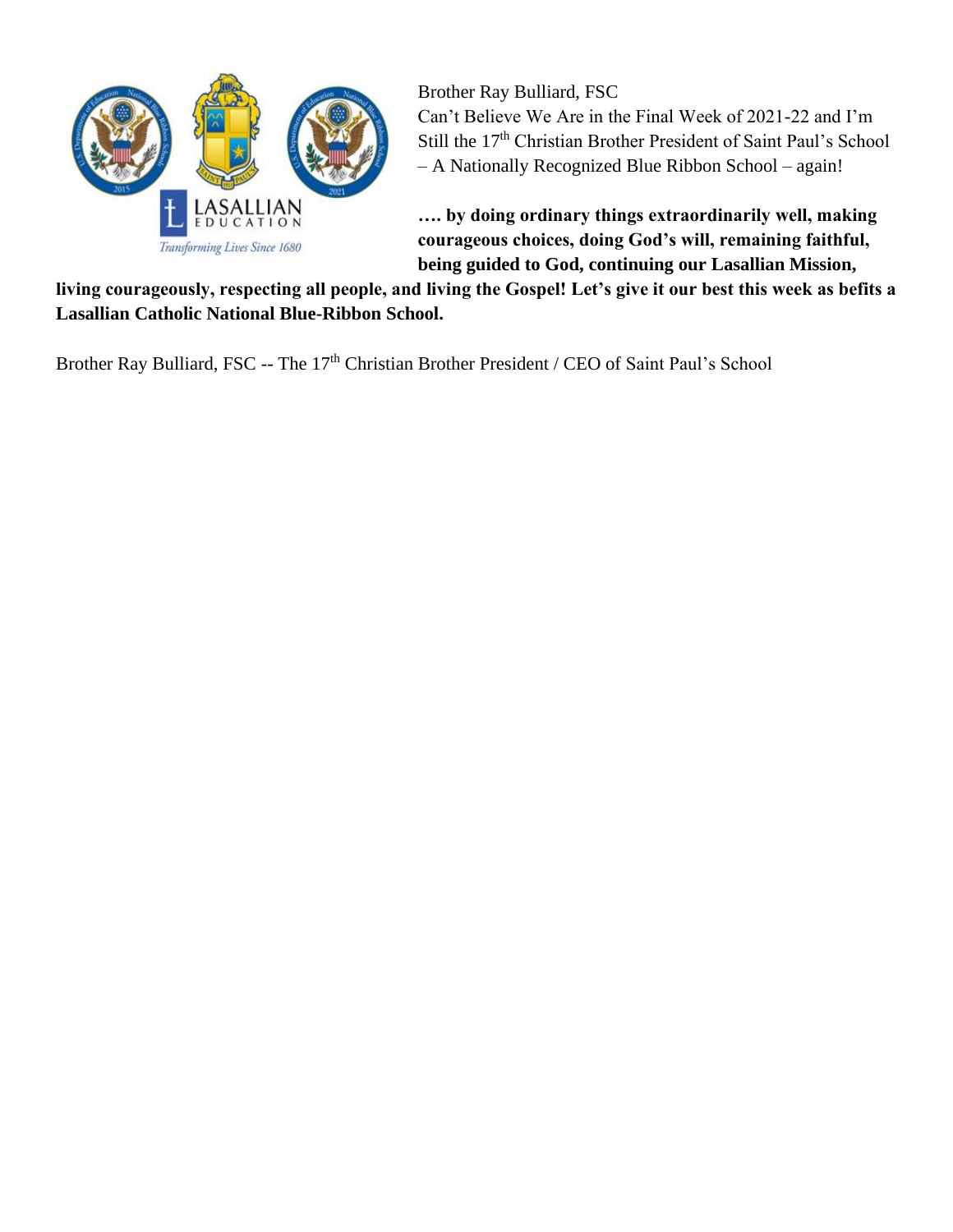

Brother Ray Bulliard, FSC Can't Believe We Are in the Final Week of 2021-22 and I'm Still the 17<sup>th</sup> Christian Brother President of Saint Paul's School – A Nationally Recognized Blue Ribbon School – again!

**…. by doing ordinary things extraordinarily well, making courageous choices, doing God's will, remaining faithful, being guided to God, continuing our Lasallian Mission,** 

**living courageously, respecting all people, and living the Gospel! Let's give it our best this week as befits a Lasallian Catholic National Blue-Ribbon School.**

Brother Ray Bulliard, FSC -- The 17<sup>th</sup> Christian Brother President / CEO of Saint Paul's School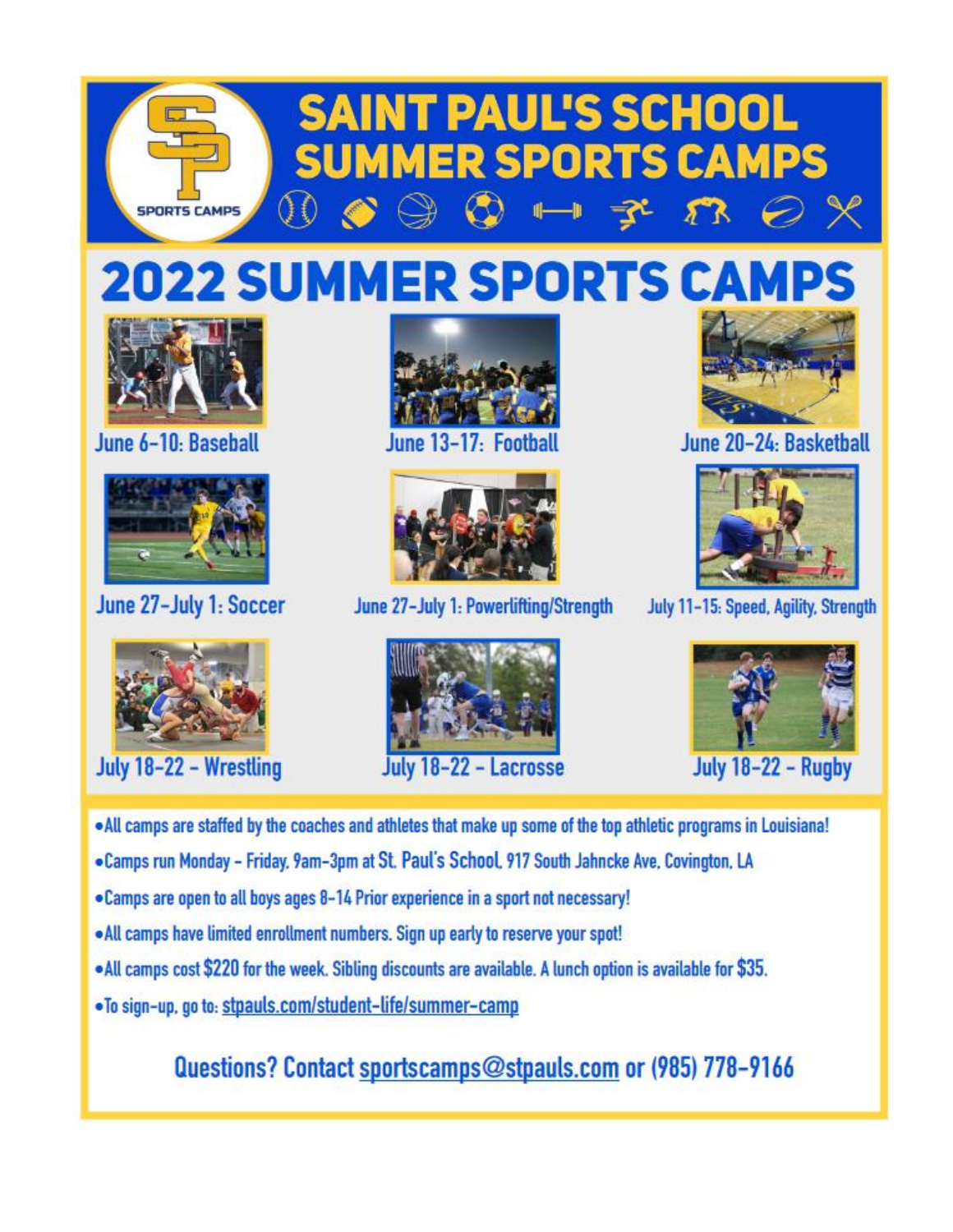

# **2022 SUMMER SPORTS CAMPS**



June 6-10: Baseball



June 27-July 1: Soccer



lune 13-17. Foothall



June 27-July 1: Powerlifting/Strength



June 20-24: Basketball



July 11-15: Speed, Agility, Strength



July 18-22 - Wrestling





**July 18-22 - Rugby** 

- . All camps are staffed by the coaches and athletes that make up some of the top athletic programs in Louisiana!
- Camps run Monday Friday. 9am-3pm at St. Paul's School, 917 South Jahncke Ave, Covington, LA
- Camps are open to all boys ages 8-14 Prior experience in a sport not necessary!
- . All camps have limited enrollment numbers. Sign up early to reserve your spot!
- All camps cost \$220 for the week. Sibling discounts are available. A lunch option is available for \$35.
- . To sign-up, go to: stpauls.com/student-life/summer-camp

Questions? Contact sportscamps@stpauls.com or (985) 778-9166